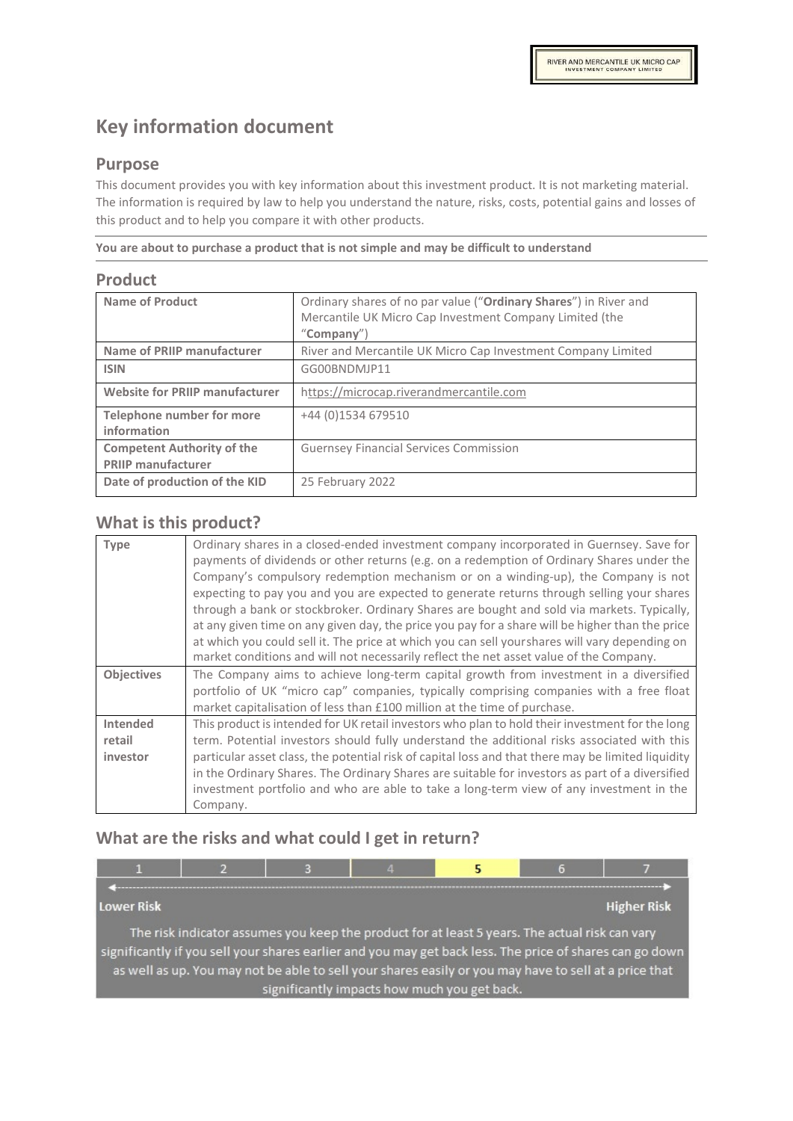# **Key information document**

#### **Purpose**

This document provides you with key information about this investment product. It is not marketing material. The information is required by law to help you understand the nature, risks, costs, potential gains and losses of this product and to help you compare it with other products.

**You are about to purchase a product that is not simple and may be difficult to understand**

#### **Product**

| <b>Name of Product</b>                          | Ordinary shares of no par value ("Ordinary Shares") in River and<br>Mercantile UK Micro Cap Investment Company Limited (the<br>"Company") |
|-------------------------------------------------|-------------------------------------------------------------------------------------------------------------------------------------------|
| <b>Name of PRIIP manufacturer</b>               | River and Mercantile UK Micro Cap Investment Company Limited                                                                              |
| <b>ISIN</b>                                     | GG00BNDMJP11                                                                                                                              |
| <b>Website for PRIIP manufacturer</b>           | https://microcap.riverandmercantile.com                                                                                                   |
| <b>Telephone number for more</b><br>information | +44 (0) 1534 679510                                                                                                                       |
| <b>Competent Authority of the</b>               | <b>Guernsey Financial Services Commission</b>                                                                                             |
| <b>PRIIP manufacturer</b>                       |                                                                                                                                           |
| Date of production of the KID                   | 25 February 2022                                                                                                                          |

#### **What is this product?**

| <b>Type</b>                    | Ordinary shares in a closed-ended investment company incorporated in Guernsey. Save for<br>payments of dividends or other returns (e.g. on a redemption of Ordinary Shares under the<br>Company's compulsory redemption mechanism or on a winding-up), the Company is not<br>expecting to pay you and you are expected to generate returns through selling your shares<br>through a bank or stockbroker. Ordinary Shares are bought and sold via markets. Typically,<br>at any given time on any given day, the price you pay for a share will be higher than the price<br>at which you could sell it. The price at which you can sell yourshares will vary depending on<br>market conditions and will not necessarily reflect the net asset value of the Company. |
|--------------------------------|--------------------------------------------------------------------------------------------------------------------------------------------------------------------------------------------------------------------------------------------------------------------------------------------------------------------------------------------------------------------------------------------------------------------------------------------------------------------------------------------------------------------------------------------------------------------------------------------------------------------------------------------------------------------------------------------------------------------------------------------------------------------|
| <b>Objectives</b>              | The Company aims to achieve long-term capital growth from investment in a diversified<br>portfolio of UK "micro cap" companies, typically comprising companies with a free float<br>market capitalisation of less than £100 million at the time of purchase.                                                                                                                                                                                                                                                                                                                                                                                                                                                                                                       |
| Intended<br>retail<br>investor | This product is intended for UK retail investors who plan to hold their investment for the long<br>term. Potential investors should fully understand the additional risks associated with this<br>particular asset class, the potential risk of capital loss and that there may be limited liquidity<br>in the Ordinary Shares. The Ordinary Shares are suitable for investors as part of a diversified<br>investment portfolio and who are able to take a long-term view of any investment in the<br>Company.                                                                                                                                                                                                                                                     |

## **What are the risks and what could I get in return?**

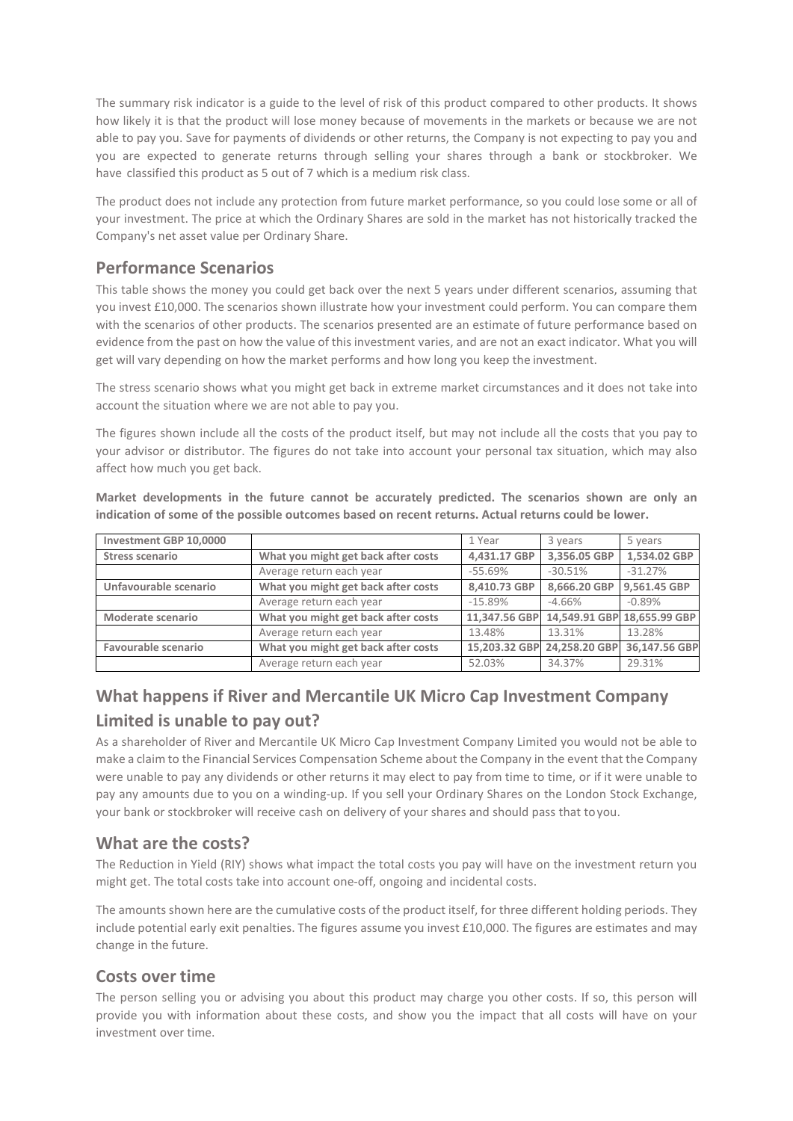The summary risk indicator is a guide to the level of risk of this product compared to other products. It shows how likely it is that the product will lose money because of movements in the markets or because we are not able to pay you. Save for payments of dividends or other returns, the Company is not expecting to pay you and you are expected to generate returns through selling your shares through a bank or stockbroker. We have classified this product as 5 out of 7 which is a medium risk class.

The product does not include any protection from future market performance, so you could lose some or all of your investment. The price at which the Ordinary Shares are sold in the market has not historically tracked the Company's net asset value per Ordinary Share.

## **Performance Scenarios**

This table shows the money you could get back over the next 5 years under different scenarios, assuming that you invest £10,000. The scenarios shown illustrate how your investment could perform. You can compare them with the scenarios of other products. The scenarios presented are an estimate of future performance based on evidence from the past on how the value of this investment varies, and are not an exact indicator. What you will get will vary depending on how the market performs and how long you keep the investment.

The stress scenario shows what you might get back in extreme market circumstances and it does not take into account the situation where we are not able to pay you.

The figures shown include all the costs of the product itself, but may not include all the costs that you pay to your advisor or distributor. The figures do not take into account your personal tax situation, which may also affect how much you get back.

| Investment GBP 10,0000 |                                     | 1 Year        | 3 years       | 5 years                     |
|------------------------|-------------------------------------|---------------|---------------|-----------------------------|
| Stress scenario        | What you might get back after costs | 4,431.17 GBP  | 3,356.05 GBP  | 1.534.02 GBP                |
|                        | Average return each year            | $-55.69\%$    | $-30.51%$     | $-31.27%$                   |
| Unfavourable scenario  | What you might get back after costs | 8,410.73 GBP  | 8,666.20 GBP  | 9.561.45 GBP                |
|                        | Average return each year            | $-15.89%$     | $-4.66\%$     | $-0.89%$                    |
| Moderate scenario      | What you might get back after costs | 11.347.56 GBP |               | 14,549.91 GBP 18,655.99 GBP |
|                        | Average return each year            | 13.48%        | 13.31%        | 13.28%                      |
| Favourable scenario    | What you might get back after costs | 15,203.32 GBP | 24,258.20 GBP | 36,147.56 GBP               |
|                        | Average return each year            | 52.03%        | 34.37%        | 29.31%                      |

**Market developments in the future cannot be accurately predicted. The scenarios shown are only an indication of some of the possible outcomes based on recent returns. Actual returns could be lower.**

## **What happens if River and Mercantile UK Micro Cap Investment Company Limited is unable to pay out?**

As a shareholder of River and Mercantile UK Micro Cap Investment Company Limited you would not be able to make a claim to the Financial Services Compensation Scheme about the Company in the event that the Company were unable to pay any dividends or other returns it may elect to pay from time to time, or if it were unable to pay any amounts due to you on a winding-up. If you sell your Ordinary Shares on the London Stock Exchange, your bank or stockbroker will receive cash on delivery of your shares and should pass that toyou.

## **What are the costs?**

The Reduction in Yield (RIY) shows what impact the total costs you pay will have on the investment return you might get. The total costs take into account one-off, ongoing and incidental costs.

The amounts shown here are the cumulative costs of the product itself, for three different holding periods. They include potential early exit penalties. The figures assume you invest £10,000. The figures are estimates and may change in the future.

## **Costs over time**

The person selling you or advising you about this product may charge you other costs. If so, this person will provide you with information about these costs, and show you the impact that all costs will have on your investment over time.